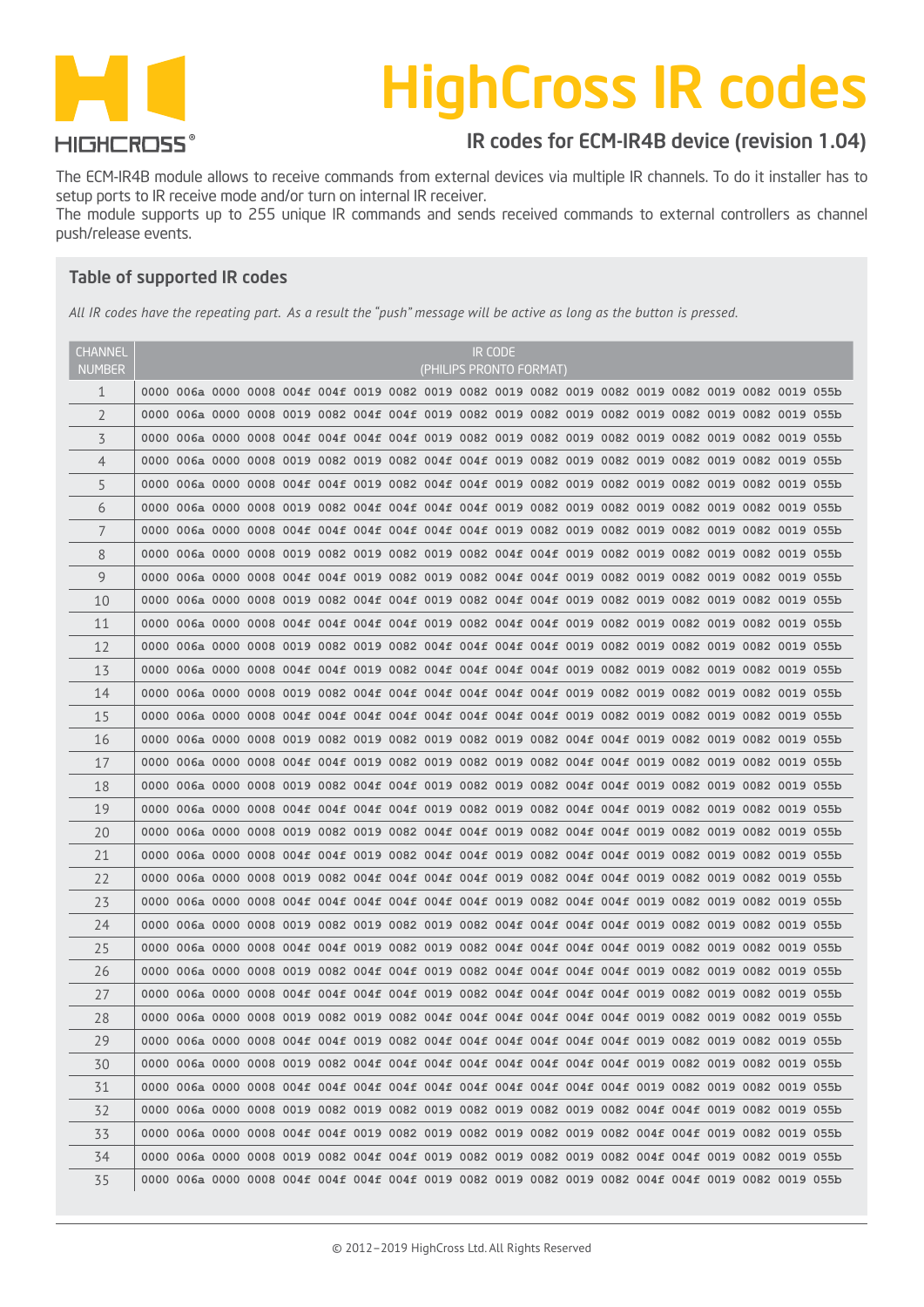

# **HighCross IR codes**

#### IR codes for ECM-IR4B device (revision 1.04)

The ECM-IR4B module allows to receive commands from external devices via multiple IR channels. To do it installer has to setup ports to IR receive mode and/or turn on internal IR receiver.

The module supports up to 255 unique IR commands and sends received commands to external controllers as channel push/release events.

#### Table of supported IR codes

All IR codes have the repeating part. As a result the "push" message will be active as long as the button is pressed.

| <b>CHANNEL</b> |  |  |  |  |  | <b>IR CODE</b> |                                                                                                     |  |  |  |  |
|----------------|--|--|--|--|--|----------------|-----------------------------------------------------------------------------------------------------|--|--|--|--|
| NUMBER         |  |  |  |  |  |                | (PHILIPS PRONTO FORMAT)                                                                             |  |  |  |  |
| $\mathbf{1}$   |  |  |  |  |  |                | 0000 006a 0000 0008 004f 004f 0019 0082 0019 0082 0019 0082 0019 0082 0019 0082 0019 0082 0019 055b |  |  |  |  |
| 2              |  |  |  |  |  |                | 0000 006a 0000 0008 0019 0082 004f 004f 0019 0082 0019 0082 0019 0082 0019 0082 0019 0082 0019 055b |  |  |  |  |
| 3              |  |  |  |  |  |                | 0000 006a 0000 0008 004f 004f 004f 004f 0019 0082 0019 0082 0019 0082 0019 0082 0019 0082 0019 055b |  |  |  |  |
| 4              |  |  |  |  |  |                | 0000 006a 0000 0008 0019 0082 0019 0082 004f 004f 0019 0082 0019 0082 0019 0082 0019 0082 0019 055b |  |  |  |  |
| 5              |  |  |  |  |  |                | 0000 006a 0000 0008 004f 004f 0019 0082 004f 004f 0019 0082 0019 0082 0019 0082 0019 0082 0019 055b |  |  |  |  |
| 6              |  |  |  |  |  |                | 0000 006a 0000 0008 0019 0082 004f 004f 004f 004f 0019 0082 0019 0082 0019 0082 0019 0082 0019 055b |  |  |  |  |
| 7              |  |  |  |  |  |                |                                                                                                     |  |  |  |  |
| 8              |  |  |  |  |  |                | 0000 006a 0000 0008 0019 0082 0019 0082 0019 0082 004f 004f 0019 0082 0019 0082 0019 0082 0019 055b |  |  |  |  |
| 9              |  |  |  |  |  |                | 0000 006a 0000 0008 004f 004f 0019 0082 0019 0082 004f 004f 0019 0082 0019 0082 0019 0082 0019 055b |  |  |  |  |
| 10             |  |  |  |  |  |                | 0000 006a 0000 0008 0019 0082 004f 004f 0019 0082 004f 004f 0019 0082 0019 0082 0019 0082 0019 055b |  |  |  |  |
| 11             |  |  |  |  |  |                | 0000 006a 0000 0008 004f 004f 004f 004f 0019 0082 004f 004f 0019 0082 0019 0082 0019 0082 0019 055b |  |  |  |  |
| 12             |  |  |  |  |  |                | 0000 006a 0000 0008 0019 0082 0019 0082 004f 004f 004f 004f 0019 0082 0019 0082 0019 0082 0019 055b |  |  |  |  |
| 13             |  |  |  |  |  |                | 0000 006a 0000 0008 004f 004f 0019 0082 004f 004f 004f 004f 0019 0082 0019 0082 0019 0082 0019 055b |  |  |  |  |
| 14             |  |  |  |  |  |                | 0000 006a 0000 0008 0019 0082 004f 004f 004f 004f 004f 004f 0019 0082 0019 0082 0019 0082 0019 055b |  |  |  |  |
| 15             |  |  |  |  |  |                |                                                                                                     |  |  |  |  |
| 16             |  |  |  |  |  |                | 0000 006a 0000 0008 0019 0082 0019 0082 0019 0082 0019 0082 004f 004f 0019 0082 0019 0082 0019 055b |  |  |  |  |
| 17             |  |  |  |  |  |                | 0000 006a 0000 0008 004f 004f 0019 0082 0019 0082 0019 0082 004f 004f 0019 0082 0019 0082 0019 055b |  |  |  |  |
| 18             |  |  |  |  |  |                | 0000 006a 0000 0008 0019 0082 004f 004f 0019 0082 0019 0082 004f 004f 0019 0082 0019 0082 0019 055b |  |  |  |  |
| 19             |  |  |  |  |  |                | 0000 006a 0000 0008 004f 004f 004f 004f 0019 0082 0019 0082 004f 004f 0019 0082 0019 0082 0019 055b |  |  |  |  |
| 20             |  |  |  |  |  |                | 0000 006a 0000 0008 0019 0082 0019 0082 004f 004f 0019 0082 004f 004f 0019 0082 0019 0082 0019 055b |  |  |  |  |
| 21             |  |  |  |  |  |                | 0000 006a 0000 0008 004f 004f 0019 0082 004f 004f 0019 0082 004f 004f 0019 0082 0019 0082 0019 055b |  |  |  |  |
| 22             |  |  |  |  |  |                | 0000 006a 0000 0008 0019 0082 004f 004f 004f 004f 0019 0082 004f 004f 0019 0082 0019 0082 0019 055b |  |  |  |  |
| 23             |  |  |  |  |  |                |                                                                                                     |  |  |  |  |
| 24             |  |  |  |  |  |                | 0000 006a 0000 0008 0019 0082 0019 0082 0019 0082 004f 004f 004f 004f 0019 0082 0019 0082 0019 055b |  |  |  |  |
| 25             |  |  |  |  |  |                | 0000 006a 0000 0008 004f 004f 0019 0082 0019 0082 004f 004f 004f 004f 0019 0082 0019 0082 0019 055b |  |  |  |  |
| 26             |  |  |  |  |  |                | 0000 006a 0000 0008 0019 0082 004f 004f 0019 0082 004f 004f 004f 004f 0019 0082 0019 0082 0019 055b |  |  |  |  |
| 27             |  |  |  |  |  |                | 0000 006a 0000 0008 004f 004f 004f 004f 0019 0082 004f 004f 004f 004f 0019 0082 0019 0082 0019 055b |  |  |  |  |
| 28             |  |  |  |  |  |                | 0000 006a 0000 0008 0019 0082 0019 0082 004f 004f 004f 004f 004f 004f 0019 0082 0019 0082 0019 055b |  |  |  |  |
| 29             |  |  |  |  |  |                | 0000 006a 0000 0008 004f 004f 0019 0082 004f 004f 004f 004f 004f 004f 0019 0082 0019 0082 0019 055b |  |  |  |  |
| 30             |  |  |  |  |  |                |                                                                                                     |  |  |  |  |
| 31             |  |  |  |  |  |                |                                                                                                     |  |  |  |  |
| 32             |  |  |  |  |  |                | 0000 006a 0000 0008 0019 0082 0019 0082 0019 0082 0019 0082 0019 0082 004f 004f 0019 0082 0019 055b |  |  |  |  |
| 33             |  |  |  |  |  |                | 0000 006a 0000 0008 004f 004f 0019 0082 0019 0082 0019 0082 0019 0082 004f 004f 0019 0082 0019 055b |  |  |  |  |
| 34             |  |  |  |  |  |                | 0000 006a 0000 0008 0019 0082 004f 004f 0019 0082 0019 0082 0019 0082 004f 004f 0019 0082 0019 055b |  |  |  |  |
| 35             |  |  |  |  |  |                | 0000 006a 0000 0008 004f 004f 004f 004f 0019 0082 0019 0082 0019 0082 004f 004f 0019 0082 0019 055b |  |  |  |  |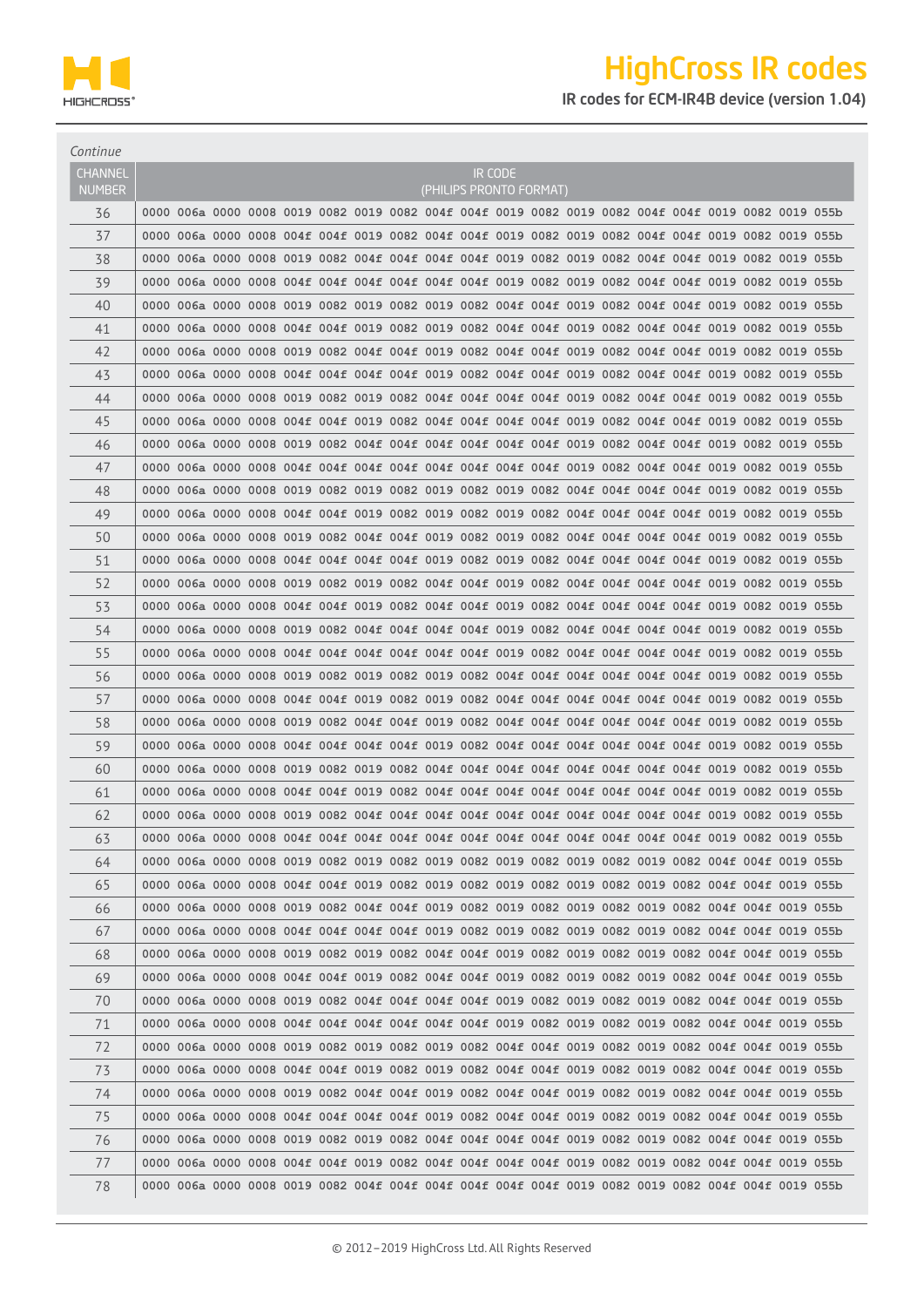

| Continue                 |  |  |  |  |                         |                |  |  |                                                                                                                                                                                                            |  |  |
|--------------------------|--|--|--|--|-------------------------|----------------|--|--|------------------------------------------------------------------------------------------------------------------------------------------------------------------------------------------------------------|--|--|
| CHANNEL<br><b>NUMBER</b> |  |  |  |  | (PHILIPS PRONTO FORMAT) | <b>IR CODE</b> |  |  |                                                                                                                                                                                                            |  |  |
| 36                       |  |  |  |  |                         |                |  |  | 0000 006a 0000 0008 0019 0082 0019 0082 004f 004f 0019 0082 0019 0082 004f 004f 0019 0082 0019 055b                                                                                                        |  |  |
| 37                       |  |  |  |  |                         |                |  |  | 0000 006a 0000 0008 004f 004f 0019 0082 004f 004f 0019 0082 0019 0082 004f 004f 0019 0082 0019 055b                                                                                                        |  |  |
| 38                       |  |  |  |  |                         |                |  |  | 0000 006a 0000 0008 0019 0082 004f 004f 004f 004f 0019 0082 0019 0082 004f 004f 0019 0082 0019 055b                                                                                                        |  |  |
| 39                       |  |  |  |  |                         |                |  |  |                                                                                                                                                                                                            |  |  |
| 40                       |  |  |  |  |                         |                |  |  | 0000 006a 0000 0008 0019 0082 0019 0082 0019 0082 004f 004f 0019 0082 004f 004f 0019 0082 0019 055b                                                                                                        |  |  |
| 41                       |  |  |  |  |                         |                |  |  | 0000 006a 0000 0008 004f 004f 0019 0082 0019 0082 004f 004f 0019 0082 004f 004f 0019 0082 0019 055b                                                                                                        |  |  |
| 42                       |  |  |  |  |                         |                |  |  | 0000 006a 0000 0008 0019 0082 004f 004f 0019 0082 004f 004f 0019 0082 004f 004f 0019 0082 0019 055b                                                                                                        |  |  |
| 43                       |  |  |  |  |                         |                |  |  | 0000 006a 0000 0008 004f 004f 004f 004f 0019 0082 004f 004f 0019 0082 004f 004f 0019 0082 0019 055b                                                                                                        |  |  |
| 44                       |  |  |  |  |                         |                |  |  | 0000 006a 0000 0008 0019 0082 0019 0082 004f 004f 004f 004f 0019 0082 004f 004f 0019 0082 0019 055b                                                                                                        |  |  |
| 45                       |  |  |  |  |                         |                |  |  | 0000 006a 0000 0008 004f 004f 0019 0082 004f 004f 004f 004f 0019 0082 004f 004f 0019 0082 0019 055b                                                                                                        |  |  |
| 46                       |  |  |  |  |                         |                |  |  | 0000 006a 0000 0008 0019 0082 004f 004f 004f 004f 004f 004f 0019 0082 004f 004f 0019 0082 0019 055b                                                                                                        |  |  |
| 47                       |  |  |  |  |                         |                |  |  |                                                                                                                                                                                                            |  |  |
| 48                       |  |  |  |  |                         |                |  |  | 0000 006a 0000 0008 0019 0082 0019 0082 0019 0082 0019 0082 004f 004f 004f 004f 0019 0082 0019 055b                                                                                                        |  |  |
| 49                       |  |  |  |  |                         |                |  |  | 0000 006a 0000 0008 004f 004f 0019 0082 0019 0082 0019 0082 004f 004f 004f 004f 0019 0082 0019 055b                                                                                                        |  |  |
| 50                       |  |  |  |  |                         |                |  |  | 0000 006a 0000 0008 0019 0082 004f 004f 0019 0082 0019 0082 004f 004f 004f 004f 0019 0082 0019 055b                                                                                                        |  |  |
| 51                       |  |  |  |  |                         |                |  |  | 0000 006a 0000 0008 004f 004f 004f 004f 0019 0082 0019 0082 004f 004f 004f 004f 0019 0082 0019 055b                                                                                                        |  |  |
| 52                       |  |  |  |  |                         |                |  |  | 0000 006a 0000 0008 0019 0082 0019 0082 004f 004f 0019 0082 004f 004f 004f 004f 0019 0082 0019 055b                                                                                                        |  |  |
| 53                       |  |  |  |  |                         |                |  |  | 0000 006a 0000 0008 004f 004f 0019 0082 004f 004f 0019 0082 004f 004f 004f 004f 0019 0082 0019 055b                                                                                                        |  |  |
| 54                       |  |  |  |  |                         |                |  |  | 0000 006a 0000 0008 0019 0082 004f 004f 004f 004f 0019 0082 004f 004f 004f 004f 0019 0082 0019 055b                                                                                                        |  |  |
| 55                       |  |  |  |  |                         |                |  |  |                                                                                                                                                                                                            |  |  |
| 56                       |  |  |  |  |                         |                |  |  | 0000 006a 0000 0008 0019 0082 0019 0082 0019 0082 004f 004f 004f 004f 004f 004f 0019 0082 0019 055b                                                                                                        |  |  |
| 57                       |  |  |  |  |                         |                |  |  | 0000 006a 0000 0008 004f 004f 0019 0082 0019 0082 004f 004f 004f 004f 004f 004f 0019 0082 0019 055b                                                                                                        |  |  |
| 58                       |  |  |  |  |                         |                |  |  | 0000 006a 0000 0008 0019 0082 004f 004f 0019 0082 004f 004f 004f 004f 004f 004f 0019 0082 0019 055b                                                                                                        |  |  |
| 59                       |  |  |  |  |                         |                |  |  | 0000 006a 0000 0008 004f 004f 004f 004f 0019 0082 004f 004f 004f 004f 004f 004f 0019 0082 0019 055b                                                                                                        |  |  |
| 60                       |  |  |  |  |                         |                |  |  |                                                                                                                                                                                                            |  |  |
| 61                       |  |  |  |  |                         |                |  |  |                                                                                                                                                                                                            |  |  |
| 62                       |  |  |  |  |                         |                |  |  |                                                                                                                                                                                                            |  |  |
| 63                       |  |  |  |  |                         |                |  |  |                                                                                                                                                                                                            |  |  |
| 64                       |  |  |  |  |                         |                |  |  | 0000 006a 0000 0008 0019 0082 0019 0082 0019 0082 0019 0082 0019 0082 0019 0082 004f 004f 0019 055b                                                                                                        |  |  |
| 65                       |  |  |  |  |                         |                |  |  | 0000 006a 0000 0008 004f 004f 0019 0082 0019 0082 0019 0082 0019 0082 0019 0082 004f 004f 0019 055b<br>0000 006a 0000 0008 0019 0082 004f 004f 0019 0082 0019 0082 0019 0082 0019 0082 004f 004f 0019 055b |  |  |
| 66<br>67                 |  |  |  |  |                         |                |  |  | 0000 006a 0000 0008 004f 004f 004f 004f 0019 0082 0019 0082 0019 0082 0019 0082 004f 004f 0019 055b                                                                                                        |  |  |
| 68                       |  |  |  |  |                         |                |  |  | 0000 006a 0000 0008 0019 0082 0019 0082 004f 004f 0019 0082 0019 0082 0019 0082 004f 004f 0019 055b                                                                                                        |  |  |
| 69                       |  |  |  |  |                         |                |  |  | 0000 006a 0000 0008 004f 004f 0019 0082 004f 004f 0019 0082 0019 0082 0019 0082 004f 004f 0019 055b                                                                                                        |  |  |
| 70                       |  |  |  |  |                         |                |  |  | 0000 006a 0000 0008 0019 0082 004f 004f 004f 004f 0019 0082 0019 0082 0019 0082 004f 004f 0019 055b                                                                                                        |  |  |
| 71                       |  |  |  |  |                         |                |  |  |                                                                                                                                                                                                            |  |  |
| 72                       |  |  |  |  |                         |                |  |  | 0000 006a 0000 0008 0019 0082 0019 0082 0019 0082 004f 004f 0019 0082 0019 0082 004f 004f 0019 055b                                                                                                        |  |  |
| 73                       |  |  |  |  |                         |                |  |  | 0000 006a 0000 0008 004f 004f 0019 0082 0019 0082 004f 004f 0019 0082 0019 0082 004f 004f 0019 055b                                                                                                        |  |  |
| 74                       |  |  |  |  |                         |                |  |  | 0000 006a 0000 0008 0019 0082 004f 004f 0019 0082 004f 004f 0019 0082 0019 0082 004f 004f 0019 055b                                                                                                        |  |  |
| 75                       |  |  |  |  |                         |                |  |  | 0000 006a 0000 0008 004f 004f 004f 004f 0019 0082 004f 004f 0019 0082 0019 0082 004f 004f 0019 055b                                                                                                        |  |  |
| 76                       |  |  |  |  |                         |                |  |  | 0000 006a 0000 0008 0019 0082 0019 0082 004f 004f 004f 004f 0019 0082 0019 0082 004f 004f 0019 055b                                                                                                        |  |  |
| 77                       |  |  |  |  |                         |                |  |  | 0000 006a 0000 0008 004f 004f 0019 0082 004f 004f 004f 004f 0019 0082 0019 0082 004f 004f 0019 055b                                                                                                        |  |  |
| 78                       |  |  |  |  |                         |                |  |  | 0000 006a 0000 0008 0019 0082 004f 004f 004f 004f 004f 004f 0019 0082 0019 0082 004f 004f 0019 055b                                                                                                        |  |  |
|                          |  |  |  |  |                         |                |  |  |                                                                                                                                                                                                            |  |  |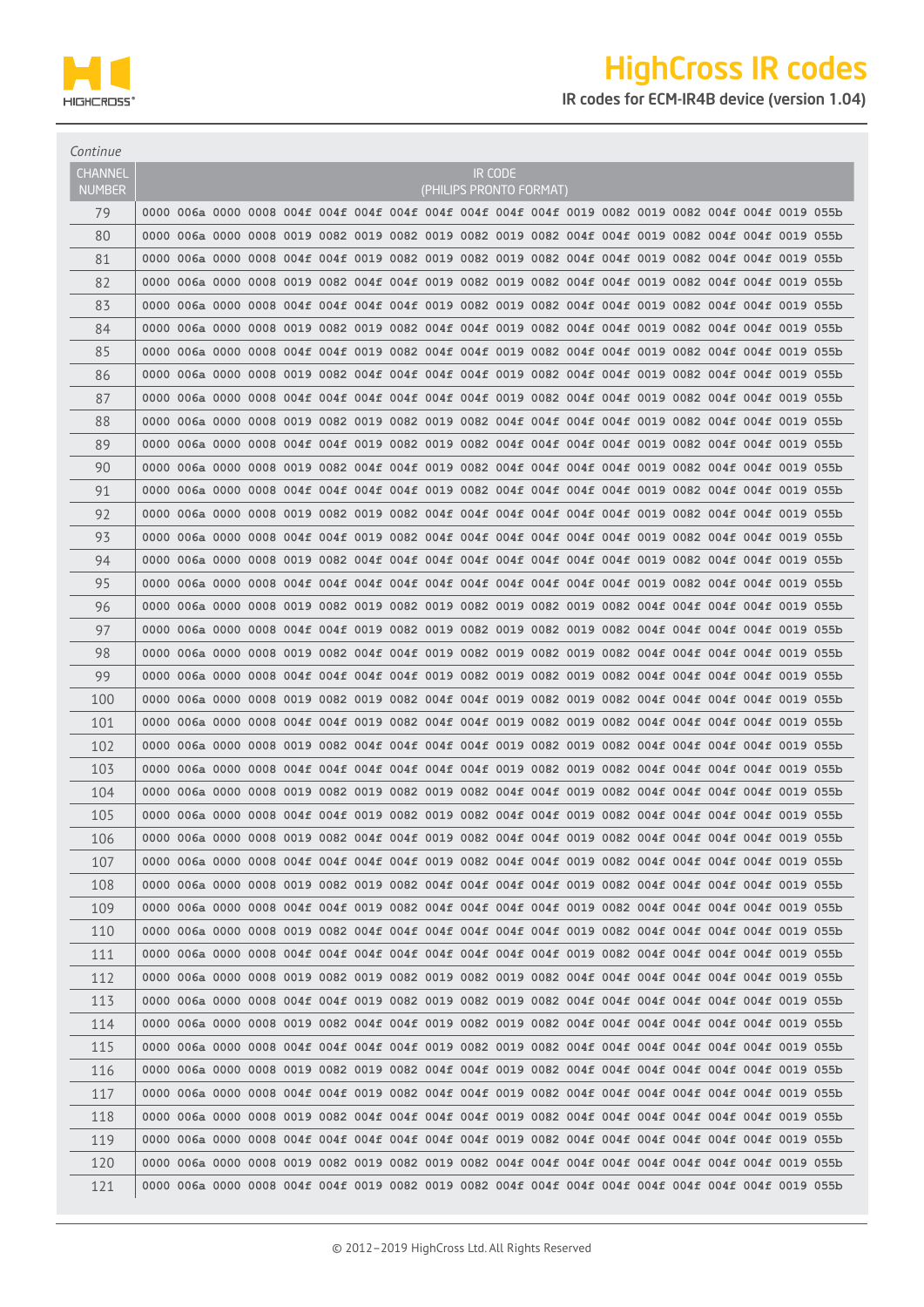

| Continue                 |  |  |  |  |  |                |                         |  |                                                                                                     |  |  |
|--------------------------|--|--|--|--|--|----------------|-------------------------|--|-----------------------------------------------------------------------------------------------------|--|--|
| CHANNEL<br><b>NUMBER</b> |  |  |  |  |  | <b>IR CODE</b> | (PHILIPS PRONTO FORMAT) |  |                                                                                                     |  |  |
| 79                       |  |  |  |  |  |                |                         |  |                                                                                                     |  |  |
| 80                       |  |  |  |  |  |                |                         |  | 0000 006a 0000 0008 0019 0082 0019 0082 0019 0082 0019 0082 004f 004f 0019 0082 004f 004f 0019 055b |  |  |
| 81                       |  |  |  |  |  |                |                         |  | 0000 006a 0000 0008 004f 004f 0019 0082 0019 0082 0019 0082 004f 004f 0019 0082 004f 004f 0019 055b |  |  |
| 82                       |  |  |  |  |  |                |                         |  | 0000 006a 0000 0008 0019 0082 004f 004f 0019 0082 0019 0082 004f 004f 0019 0082 004f 004f 0019 055b |  |  |
| 83                       |  |  |  |  |  |                |                         |  | 0000 006a 0000 0008 004f 004f 004f 004f 0019 0082 0019 0082 004f 004f 0019 0082 004f 004f 0019 055b |  |  |
| 84                       |  |  |  |  |  |                |                         |  | 0000 006a 0000 0008 0019 0082 0019 0082 004f 004f 0019 0082 004f 004f 0019 0082 004f 004f 0019 055b |  |  |
| 85                       |  |  |  |  |  |                |                         |  | 0000 006a 0000 0008 004f 004f 0019 0082 004f 004f 0019 0082 004f 004f 0019 0082 004f 004f 0019 055b |  |  |
| 86                       |  |  |  |  |  |                |                         |  | 0000 006a 0000 0008 0019 0082 004f 004f 004f 004f 0019 0082 004f 004f 0019 0082 004f 004f 0019 055b |  |  |
| 87                       |  |  |  |  |  |                |                         |  |                                                                                                     |  |  |
| 88                       |  |  |  |  |  |                |                         |  | 0000 006a 0000 0008 0019 0082 0019 0082 0019 0082 004f 004f 004f 004f 0019 0082 004f 004f 0019 055b |  |  |
| 89                       |  |  |  |  |  |                |                         |  | 0000 006a 0000 0008 004f 004f 0019 0082 0019 0082 004f 004f 004f 004f 0019 0082 004f 004f 0019 055b |  |  |
| 90                       |  |  |  |  |  |                |                         |  | 0000 006a 0000 0008 0019 0082 004f 004f 0019 0082 004f 004f 004f 004f 0019 0082 004f 004f 0019 055b |  |  |
| 91                       |  |  |  |  |  |                |                         |  | 0000 006a 0000 0008 004f 004f 004f 004f 0019 0082 004f 004f 004f 004f 0019 0082 004f 004f 0019 055b |  |  |
| 92                       |  |  |  |  |  |                |                         |  | 0000 006a 0000 0008 0019 0082 0019 0082 004f 004f 004f 004f 004f 004f 0019 0082 004f 004f 0019 055b |  |  |
| 93                       |  |  |  |  |  |                |                         |  | 0000 006a 0000 0008 004f 004f 0019 0082 004f 004f 004f 004f 004f 004f 0019 0082 004f 004f 0019 055b |  |  |
| 94                       |  |  |  |  |  |                |                         |  |                                                                                                     |  |  |
| 95                       |  |  |  |  |  |                |                         |  |                                                                                                     |  |  |
| 96                       |  |  |  |  |  |                |                         |  | 0000 006a 0000 0008 0019 0082 0019 0082 0019 0082 0019 0082 0019 0082 004f 004f 004f 004f 0019 055b |  |  |
| 97                       |  |  |  |  |  |                |                         |  | 0000 006a 0000 0008 004f 004f 0019 0082 0019 0082 0019 0082 0019 0082 004f 004f 004f 004f 0019 055b |  |  |
| 98                       |  |  |  |  |  |                |                         |  | 0000 006a 0000 0008 0019 0082 004f 004f 0019 0082 0019 0082 0019 0082 004f 004f 004f 004f 0019 055b |  |  |
| 99                       |  |  |  |  |  |                |                         |  | 0000 006a 0000 0008 004f 004f 004f 004f 0019 0082 0019 0082 0019 0082 004f 004f 004f 004f 0019 055b |  |  |
| 100                      |  |  |  |  |  |                |                         |  | 0000 006a 0000 0008 0019 0082 0019 0082 004f 004f 0019 0082 0019 0082 004f 004f 004f 004f 0019 055b |  |  |
| 101                      |  |  |  |  |  |                |                         |  | 0000 006a 0000 0008 004f 004f 0019 0082 004f 004f 0019 0082 0019 0082 004f 004f 004f 004f 0019 055b |  |  |
| 102                      |  |  |  |  |  |                |                         |  | 0000 006a 0000 0008 0019 0082 004f 004f 004f 004f 0019 0082 0019 0082 004f 004f 004f 004f 0019 055b |  |  |
| 103                      |  |  |  |  |  |                |                         |  |                                                                                                     |  |  |
| 104                      |  |  |  |  |  |                |                         |  | 0000 006a 0000 0008 0019 0082 0019 0082 0019 0082 004f 004f 0019 0082 004f 004f 004f 004f 0019 055b |  |  |
| 105                      |  |  |  |  |  |                |                         |  | 0000 006a 0000 0008 004f 004f 0019 0082 0019 0082 004f 004f 0019 0082 004f 004f 004f 004f 0019 055b |  |  |
| 106                      |  |  |  |  |  |                |                         |  | 0000 006a 0000 0008 0019 0082 004f 004f 0019 0082 004f 004f 0019 0082 004f 004f 004f 004f 0019 055b |  |  |
| 107                      |  |  |  |  |  |                |                         |  | 0000 006a 0000 0008 004f 004f 004f 004f 0019 0082 004f 004f 0019 0082 004f 004f 004f 004f 0019 055b |  |  |
| 108                      |  |  |  |  |  |                |                         |  | 0000 006a 0000 0008 0019 0082 0019 0082 004f 004f 004f 004f 0019 0082 004f 004f 004f 004f 0019 055b |  |  |
| 109                      |  |  |  |  |  |                |                         |  | 0000 006a 0000 0008 004f 004f 0019 0082 004f 004f 004f 004f 0019 0082 004f 004f 004f 004f 0019 055b |  |  |
| 110                      |  |  |  |  |  |                |                         |  | 0000 006a 0000 0008 0019 0082 004f 004f 004f 004f 004f 004f 0019 0082 004f 004f 004f 004f 0019 055b |  |  |
| 111                      |  |  |  |  |  |                |                         |  |                                                                                                     |  |  |
| 112                      |  |  |  |  |  |                |                         |  | 0000 006a 0000 0008 0019 0082 0019 0082 0019 0082 0019 0082 004f 004f 004f 004f 004f 004f 0019 055b |  |  |
| 113                      |  |  |  |  |  |                |                         |  | 0000 006a 0000 0008 004f 004f 0019 0082 0019 0082 0019 0082 004f 004f 004f 004f 004f 004f 0019 055b |  |  |
| 114                      |  |  |  |  |  |                |                         |  | 0000 006a 0000 0008 0019 0082 004f 004f 0019 0082 0019 0082 004f 004f 004f 004f 004f 004f 0019 055b |  |  |
| 115                      |  |  |  |  |  |                |                         |  | 0000 006a 0000 0008 004f 004f 004f 004f 0019 0082 0019 0082 004f 004f 004f 004f 004f 004f 0019 055b |  |  |
| 116                      |  |  |  |  |  |                |                         |  | 0000 006a 0000 0008 0019 0082 0019 0082 004f 004f 0019 0082 004f 004f 004f 004f 004f 004f 0019 055b |  |  |
| 117                      |  |  |  |  |  |                |                         |  | 0000 006a 0000 0008 004f 004f 0019 0082 004f 004f 0019 0082 004f 004f 004f 004f 004f 004f 0019 055b |  |  |
| 118                      |  |  |  |  |  |                |                         |  | 0000 006a 0000 0008 0019 0082 004f 004f 004f 004f 0019 0082 004f 004f 004f 004f 004f 004f 0019 055b |  |  |
| 119                      |  |  |  |  |  |                |                         |  |                                                                                                     |  |  |
| 120                      |  |  |  |  |  |                |                         |  |                                                                                                     |  |  |
| 121                      |  |  |  |  |  |                |                         |  |                                                                                                     |  |  |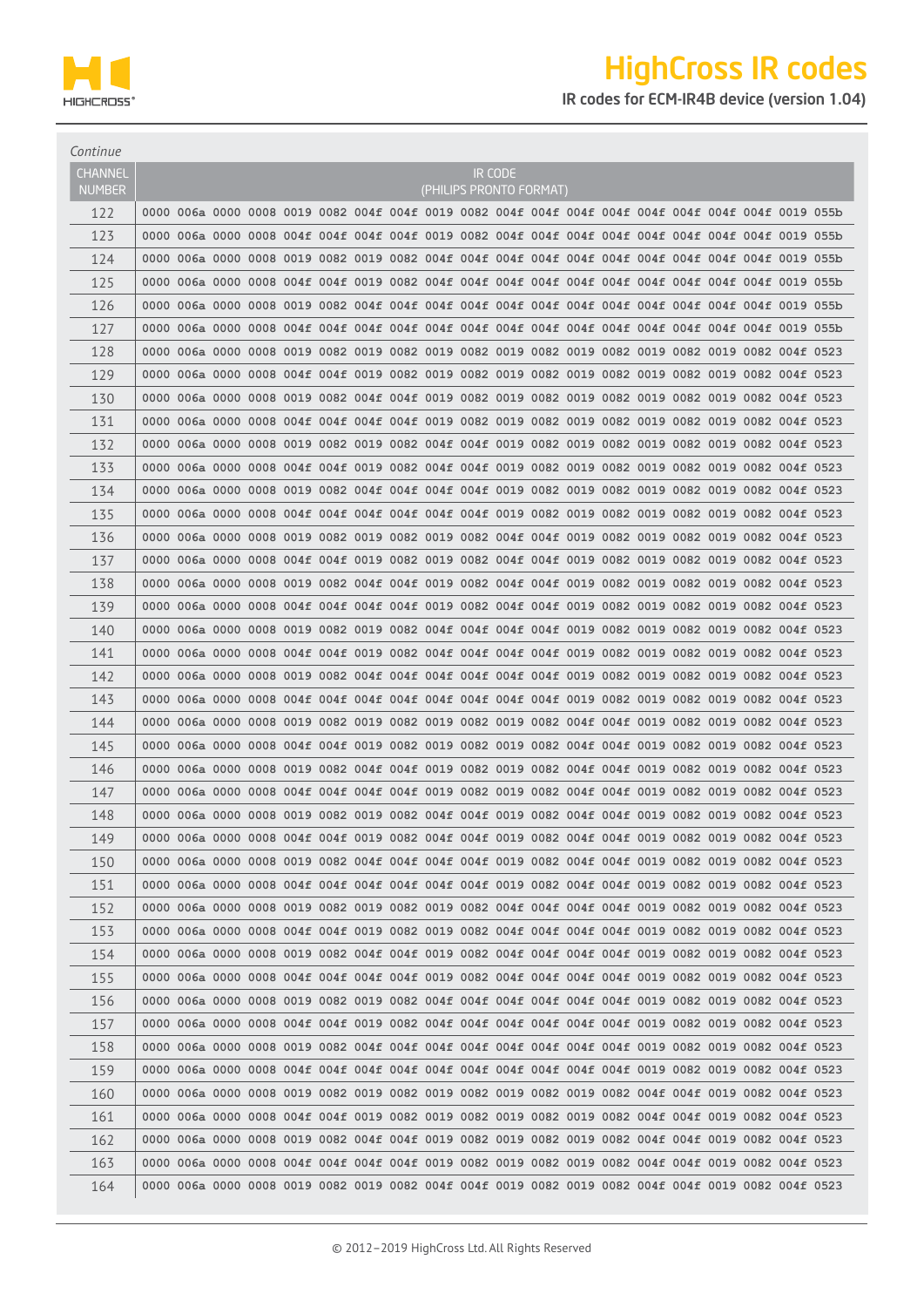

| Continue                 |  |  |  |  |                         |                |                                                                                                     |  |  |  |  |
|--------------------------|--|--|--|--|-------------------------|----------------|-----------------------------------------------------------------------------------------------------|--|--|--|--|
| CHANNEL<br><b>NUMBER</b> |  |  |  |  | (PHILIPS PRONTO FORMAT) | <b>IR CODE</b> |                                                                                                     |  |  |  |  |
| 122                      |  |  |  |  |                         |                |                                                                                                     |  |  |  |  |
| 123                      |  |  |  |  |                         |                |                                                                                                     |  |  |  |  |
| 124                      |  |  |  |  |                         |                |                                                                                                     |  |  |  |  |
| 125                      |  |  |  |  |                         |                |                                                                                                     |  |  |  |  |
| 126                      |  |  |  |  |                         |                |                                                                                                     |  |  |  |  |
| 127                      |  |  |  |  |                         |                |                                                                                                     |  |  |  |  |
| 128                      |  |  |  |  |                         |                | 0000 006a 0000 0008 0019 0082 0019 0082 0019 0082 0019 0082 0019 0082 0019 0082 0019 0082 004f 0523 |  |  |  |  |
| 129                      |  |  |  |  |                         |                | 0000 006a 0000 0008 004f 004f 0019 0082 0019 0082 0019 0082 0019 0082 0019 0082 0019 0082 004f 0523 |  |  |  |  |
| 130                      |  |  |  |  |                         |                | 0000 006a 0000 0008 0019 0082 004f 004f 0019 0082 0019 0082 0019 0082 0019 0082 0019 0082 004f 0523 |  |  |  |  |
| 131                      |  |  |  |  |                         |                | 0000 006a 0000 0008 004f 004f 004f 004f 0019 0082 0019 0082 0019 0082 0019 0082 0019 0082 004f 0523 |  |  |  |  |
| 132                      |  |  |  |  |                         |                | 0000 006a 0000 0008 0019 0082 0019 0082 004f 004f 0019 0082 0019 0082 0019 0082 0019 0082 004f 0523 |  |  |  |  |
| 133                      |  |  |  |  |                         |                | 0000 006a 0000 0008 004f 004f 0019 0082 004f 004f 0019 0082 0019 0082 0019 0082 0019 0082 004f 0523 |  |  |  |  |
| 134                      |  |  |  |  |                         |                | 0000 006a 0000 0008 0019 0082 004f 004f 004f 004f 0019 0082 0019 0082 0019 0082 0019 0082 004f 0523 |  |  |  |  |
| 135                      |  |  |  |  |                         |                |                                                                                                     |  |  |  |  |
| 136                      |  |  |  |  |                         |                | 0000 006a 0000 0008 0019 0082 0019 0082 0019 0082 004f 004f 0019 0082 0019 0082 0019 0082 004f 0523 |  |  |  |  |
| 137                      |  |  |  |  |                         |                | 0000 006a 0000 0008 004f 004f 0019 0082 0019 0082 004f 004f 0019 0082 0019 0082 0019 0082 004f 0523 |  |  |  |  |
| 138                      |  |  |  |  |                         |                | 0000 006a 0000 0008 0019 0082 004f 004f 0019 0082 004f 004f 0019 0082 0019 0082 0019 0082 004f 0523 |  |  |  |  |
| 139                      |  |  |  |  |                         |                | 0000 006a 0000 0008 004f 004f 004f 004f 0019 0082 004f 004f 0019 0082 0019 0082 0019 0082 004f 0523 |  |  |  |  |
| 140                      |  |  |  |  |                         |                | 0000 006a 0000 0008 0019 0082 0019 0082 004f 004f 004f 004f 0019 0082 0019 0082 0019 0082 004f 0523 |  |  |  |  |
| 141                      |  |  |  |  |                         |                | 0000 006a 0000 0008 004f 004f 0019 0082 004f 004f 004f 004f 0019 0082 0019 0082 0019 0082 004f 0523 |  |  |  |  |
| 142                      |  |  |  |  |                         |                | 0000 006a 0000 0008 0019 0082 004f 004f 004f 004f 004f 004f 0019 0082 0019 0082 0019 0082 004f 0523 |  |  |  |  |
| 143                      |  |  |  |  |                         |                |                                                                                                     |  |  |  |  |
| 144                      |  |  |  |  |                         |                | 0000 006a 0000 0008 0019 0082 0019 0082 0019 0082 0019 0082 004f 004f 0019 0082 0019 0082 004f 0523 |  |  |  |  |
| 145                      |  |  |  |  |                         |                | 0000 006a 0000 0008 004f 004f 0019 0082 0019 0082 0019 0082 004f 004f 0019 0082 0019 0082 004f 0523 |  |  |  |  |
| 146                      |  |  |  |  |                         |                | 0000 006a 0000 0008 0019 0082 004f 004f 0019 0082 0019 0082 004f 004f 0019 0082 0019 0082 004f 0523 |  |  |  |  |
| 147                      |  |  |  |  |                         |                | 0000 006a 0000 0008 004f 004f 004f 004f 0019 0082 0019 0082 004f 004f 0019 0082 0019 0082 004f 0523 |  |  |  |  |
| 148                      |  |  |  |  |                         |                | 0000 006a 0000 0008 0019 0082 0019 0082 004f 004f 0019 0082 004f 004f 0019 0082 0019 0082 004f 0523 |  |  |  |  |
| 149                      |  |  |  |  |                         |                | 0000 006a 0000 0008 004f 004f 0019 0082 004f 004f 0019 0082 004f 004f 0019 0082 0019 0082 004f 0523 |  |  |  |  |
| 150                      |  |  |  |  |                         |                | 0000 006a 0000 0008 0019 0082 004f 004f 004f 004f 0019 0082 004f 004f 0019 0082 0019 0082 004f 0523 |  |  |  |  |
| 151                      |  |  |  |  |                         |                |                                                                                                     |  |  |  |  |
| 152                      |  |  |  |  |                         |                | 0000 006a 0000 0008 0019 0082 0019 0082 0019 0082 004f 004f 004f 004f 0019 0082 0019 0082 004f 0523 |  |  |  |  |
| 153                      |  |  |  |  |                         |                | 0000 006a 0000 0008 004f 004f 0019 0082 0019 0082 004f 004f 004f 004f 0019 0082 0019 0082 004f 0523 |  |  |  |  |
| 154                      |  |  |  |  |                         |                | 0000 006a 0000 0008 0019 0082 004f 004f 0019 0082 004f 004f 004f 004f 0019 0082 0019 0082 004f 0523 |  |  |  |  |
| 155                      |  |  |  |  |                         |                | 0000 006a 0000 0008 004f 004f 004f 004f 0019 0082 004f 004f 004f 004f 0019 0082 0019 0082 004f 0523 |  |  |  |  |
| 156                      |  |  |  |  |                         |                | 0000 006a 0000 0008 0019 0082 0019 0082 004f 004f 004f 004f 004f 004f 0019 0082 0019 0082 004f 0523 |  |  |  |  |
| 157                      |  |  |  |  |                         |                | 0000 006a 0000 0008 004f 004f 0019 0082 004f 004f 004f 004f 004f 004f 0019 0082 0019 0082 004f 0523 |  |  |  |  |
| 158                      |  |  |  |  |                         |                |                                                                                                     |  |  |  |  |
| 159                      |  |  |  |  |                         |                |                                                                                                     |  |  |  |  |
| 160                      |  |  |  |  |                         |                | 0000 006a 0000 0008 0019 0082 0019 0082 0019 0082 0019 0082 0019 0082 004f 004f 0019 0082 004f 0523 |  |  |  |  |
| 161                      |  |  |  |  |                         |                | 0000 006a 0000 0008 004f 004f 0019 0082 0019 0082 0019 0082 0019 0082 004f 004f 0019 0082 004f 0523 |  |  |  |  |
| 162                      |  |  |  |  |                         |                | 0000 006a 0000 0008 0019 0082 004f 004f 0019 0082 0019 0082 0019 0082 004f 004f 0019 0082 004f 0523 |  |  |  |  |
| 163                      |  |  |  |  |                         |                | 0000 006a 0000 0008 004f 004f 004f 004f 0019 0082 0019 0082 0019 0082 004f 004f 0019 0082 004f 0523 |  |  |  |  |
| 164                      |  |  |  |  |                         |                | 0000 006a 0000 0008 0019 0082 0019 0082 004f 004f 0019 0082 0019 0082 004f 004f 0019 0082 004f 0523 |  |  |  |  |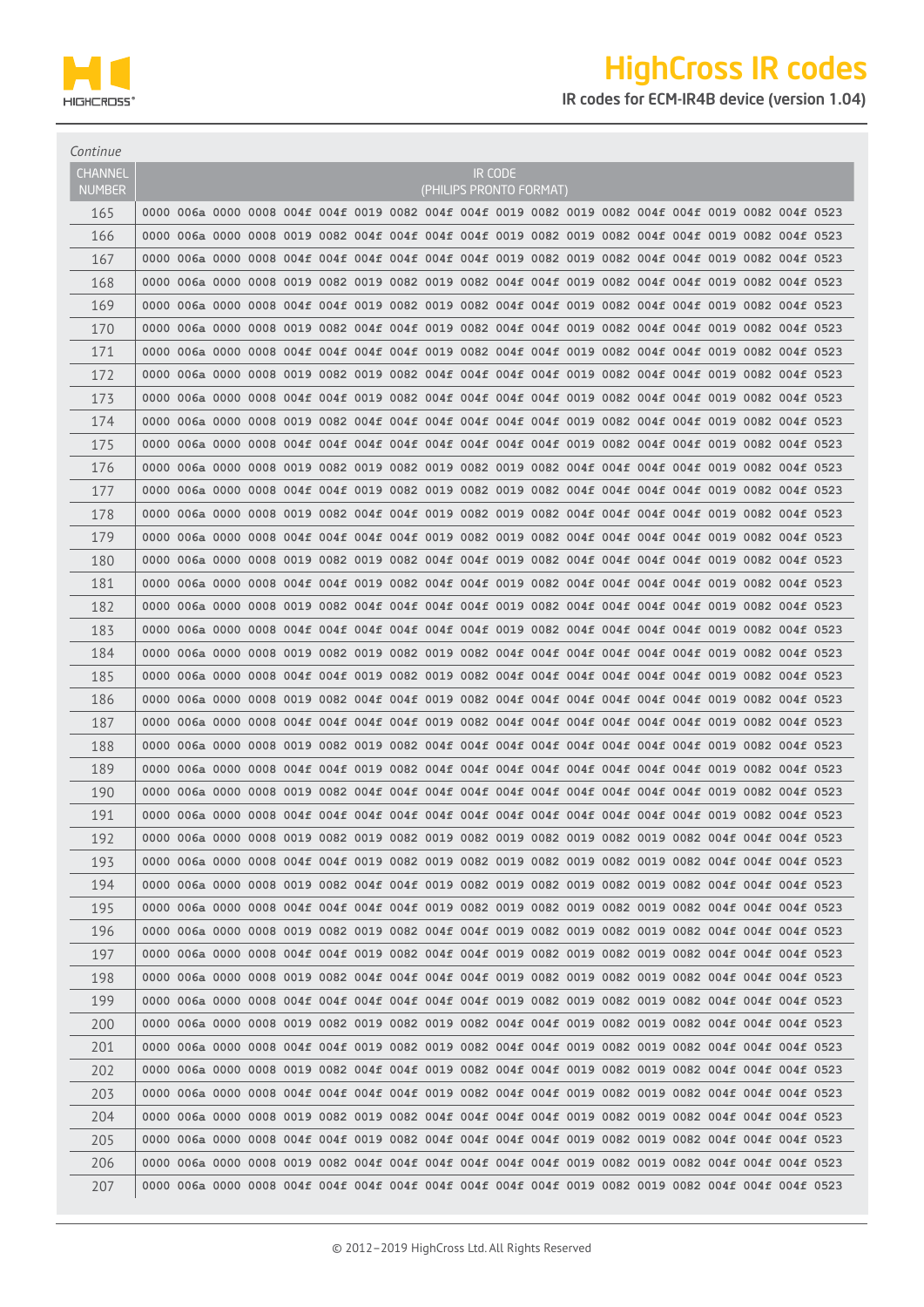

| Continue                 |  |                                                                                                                                                                                                            |  |  |                         |                |  |  |  |  |  |
|--------------------------|--|------------------------------------------------------------------------------------------------------------------------------------------------------------------------------------------------------------|--|--|-------------------------|----------------|--|--|--|--|--|
| CHANNEL<br><b>NUMBER</b> |  |                                                                                                                                                                                                            |  |  | (PHILIPS PRONTO FORMAT) | <b>IR CODE</b> |  |  |  |  |  |
| 165                      |  | 0000 006a 0000 0008 004f 004f 0019 0082 004f 004f 0019 0082 0019 0082 004f 004f 0019 0082 004f 0523                                                                                                        |  |  |                         |                |  |  |  |  |  |
| 166                      |  | 0000 006a 0000 0008 0019 0082 004f 004f 004f 004f 0019 0082 0019 0082 004f 004f 0019 0082 004f 0523                                                                                                        |  |  |                         |                |  |  |  |  |  |
| 167                      |  |                                                                                                                                                                                                            |  |  |                         |                |  |  |  |  |  |
| 168                      |  | 0000 006a 0000 0008 0019 0082 0019 0082 0019 0082 004f 004f 0019 0082 004f 004f 0019 0082 004f 0523                                                                                                        |  |  |                         |                |  |  |  |  |  |
| 169                      |  | 0000 006a 0000 0008 004f 004f 0019 0082 0019 0082 004f 004f 0019 0082 004f 004f 0019 0082 004f 0523                                                                                                        |  |  |                         |                |  |  |  |  |  |
| 170                      |  | 0000 006a 0000 0008 0019 0082 004f 004f 0019 0082 004f 004f 0019 0082 004f 004f 0019 0082 004f 0523                                                                                                        |  |  |                         |                |  |  |  |  |  |
| 171                      |  | 0000 006a 0000 0008 004f 004f 004f 004f 0019 0082 004f 004f 0019 0082 004f 004f 0019 0082 004f 0523                                                                                                        |  |  |                         |                |  |  |  |  |  |
| 172                      |  | 0000 006a 0000 0008 0019 0082 0019 0082 004f 004f 004f 004f 0019 0082 004f 004f 0019 0082 004f 0523                                                                                                        |  |  |                         |                |  |  |  |  |  |
| 173                      |  | 0000 006a 0000 0008 004f 004f 0019 0082 004f 004f 004f 004f 0019 0082 004f 004f 0019 0082 004f 0523                                                                                                        |  |  |                         |                |  |  |  |  |  |
| 174                      |  | 0000 006a 0000 0008 0019 0082 004f 004f 004f 004f 004f 004f 0019 0082 004f 004f 0019 0082 004f 0523                                                                                                        |  |  |                         |                |  |  |  |  |  |
| 175                      |  |                                                                                                                                                                                                            |  |  |                         |                |  |  |  |  |  |
| 176                      |  | 0000 006a 0000 0008 0019 0082 0019 0082 0019 0082 0019 0082 004f 004f 004f 004f 0019 0082 004f 0523                                                                                                        |  |  |                         |                |  |  |  |  |  |
| 177                      |  | 0000 006a 0000 0008 004f 004f 0019 0082 0019 0082 0019 0082 004f 004f 004f 004f 0019 0082 004f 0523                                                                                                        |  |  |                         |                |  |  |  |  |  |
| 178                      |  | 0000 006a 0000 0008 0019 0082 004f 004f 0019 0082 0019 0082 004f 004f 004f 004f 0019 0082 004f 0523                                                                                                        |  |  |                         |                |  |  |  |  |  |
| 179                      |  | 0000 006a 0000 0008 004f 004f 004f 004f 0019 0082 0019 0082 004f 004f 004f 004f 0019 0082 004f 0523                                                                                                        |  |  |                         |                |  |  |  |  |  |
| 180                      |  | 0000 006a 0000 0008 0019 0082 0019 0082 004f 004f 0019 0082 004f 004f 004f 004f 0019 0082 004f 0523                                                                                                        |  |  |                         |                |  |  |  |  |  |
| 181                      |  | 0000 006a 0000 0008 004f 004f 0019 0082 004f 004f 0019 0082 004f 004f 004f 004f 0019 0082 004f 0523                                                                                                        |  |  |                         |                |  |  |  |  |  |
| 182                      |  | 0000 006a 0000 0008 0019 0082 004f 004f 004f 004f 0019 0082 004f 004f 004f 004f 0019 0082 004f 0523                                                                                                        |  |  |                         |                |  |  |  |  |  |
| 183                      |  |                                                                                                                                                                                                            |  |  |                         |                |  |  |  |  |  |
| 184                      |  | 0000 006a 0000 0008 0019 0082 0019 0082 0019 0082 004f 004f 004f 004f 004f 004f 0019 0082 004f 0523                                                                                                        |  |  |                         |                |  |  |  |  |  |
| 185                      |  | 0000 006a 0000 0008 004f 004f 0019 0082 0019 0082 004f 004f 004f 004f 004f 004f 0019 0082 004f 0523                                                                                                        |  |  |                         |                |  |  |  |  |  |
| 186                      |  | 0000 006a 0000 0008 0019 0082 004f 004f 0019 0082 004f 004f 004f 004f 004f 004f 0019 0082 004f 0523                                                                                                        |  |  |                         |                |  |  |  |  |  |
| 187                      |  | 0000 006a 0000 0008 004f 004f 004f 004f 0019 0082 004f 004f 004f 004f 004f 004f 0019 0082 004f 0523                                                                                                        |  |  |                         |                |  |  |  |  |  |
| 188                      |  |                                                                                                                                                                                                            |  |  |                         |                |  |  |  |  |  |
| 189                      |  |                                                                                                                                                                                                            |  |  |                         |                |  |  |  |  |  |
| 190                      |  |                                                                                                                                                                                                            |  |  |                         |                |  |  |  |  |  |
| 191                      |  |                                                                                                                                                                                                            |  |  |                         |                |  |  |  |  |  |
| 192                      |  | 0000 006a 0000 0008 0019 0082 0019 0082 0019 0082 0019 0082 0019 0082 0019 0082 004f 004f 004f 0523                                                                                                        |  |  |                         |                |  |  |  |  |  |
| 193                      |  | 0000 006a 0000 0008 004f 004f 0019 0082 0019 0082 0019 0082 0019 0082 0019 0082 004f 004f 004f 0523                                                                                                        |  |  |                         |                |  |  |  |  |  |
| 194                      |  | 0000 006a 0000 0008 0019 0082 004f 004f 0019 0082 0019 0082 0019 0082 0019 0082 004f 004f 004f 0523                                                                                                        |  |  |                         |                |  |  |  |  |  |
| 195                      |  | 0000 006a 0000 0008 004f 004f 004f 004f 0019 0082 0019 0082 0019 0082 0019 0082 004f 004f 004f 0523                                                                                                        |  |  |                         |                |  |  |  |  |  |
| 196<br>197               |  | 0000 006a 0000 0008 0019 0082 0019 0082 004f 004f 0019 0082 0019 0082 0019 0082 004f 004f 004f 0523                                                                                                        |  |  |                         |                |  |  |  |  |  |
| 198                      |  | 0000 006a 0000 0008 004f 004f 0019 0082 004f 004f 0019 0082 0019 0082 0019 0082 004f 004f 004f 0523<br>0000 006a 0000 0008 0019 0082 004f 004f 004f 004f 0019 0082 0019 0082 0019 0082 004f 004f 004f 0523 |  |  |                         |                |  |  |  |  |  |
| 199                      |  |                                                                                                                                                                                                            |  |  |                         |                |  |  |  |  |  |
| 200                      |  | 0000 006a 0000 0008 0019 0082 0019 0082 0019 0082 004f 004f 0019 0082 0019 0082 004f 004f 004f 0523                                                                                                        |  |  |                         |                |  |  |  |  |  |
| 201                      |  | 0000 006a 0000 0008 004f 004f 0019 0082 0019 0082 004f 004f 0019 0082 0019 0082 004f 004f 004f 0523                                                                                                        |  |  |                         |                |  |  |  |  |  |
| 202                      |  | 0000 006a 0000 0008 0019 0082 004f 004f 0019 0082 004f 004f 0019 0082 0019 0082 004f 004f 004f 0523                                                                                                        |  |  |                         |                |  |  |  |  |  |
| 203                      |  | 0000 006a 0000 0008 004f 004f 004f 004f 0019 0082 004f 004f 0019 0082 0019 0082 004f 004f 004f 0523                                                                                                        |  |  |                         |                |  |  |  |  |  |
| 204                      |  | 0000 006a 0000 0008 0019 0082 0019 0082 004f 004f 004f 004f 0019 0082 0019 0082 004f 004f 004f 0523                                                                                                        |  |  |                         |                |  |  |  |  |  |
| 205                      |  | 0000 006a 0000 0008 004f 004f 0019 0082 004f 004f 004f 004f 0019 0082 0019 0082 004f 004f 004f 0523                                                                                                        |  |  |                         |                |  |  |  |  |  |
| 206                      |  | 0000 006a 0000 0008 0019 0082 004f 004f 004f 004f 004f 004f 0019 0082 0019 0082 004f 004f 004f 0523                                                                                                        |  |  |                         |                |  |  |  |  |  |
| 207                      |  |                                                                                                                                                                                                            |  |  |                         |                |  |  |  |  |  |
|                          |  |                                                                                                                                                                                                            |  |  |                         |                |  |  |  |  |  |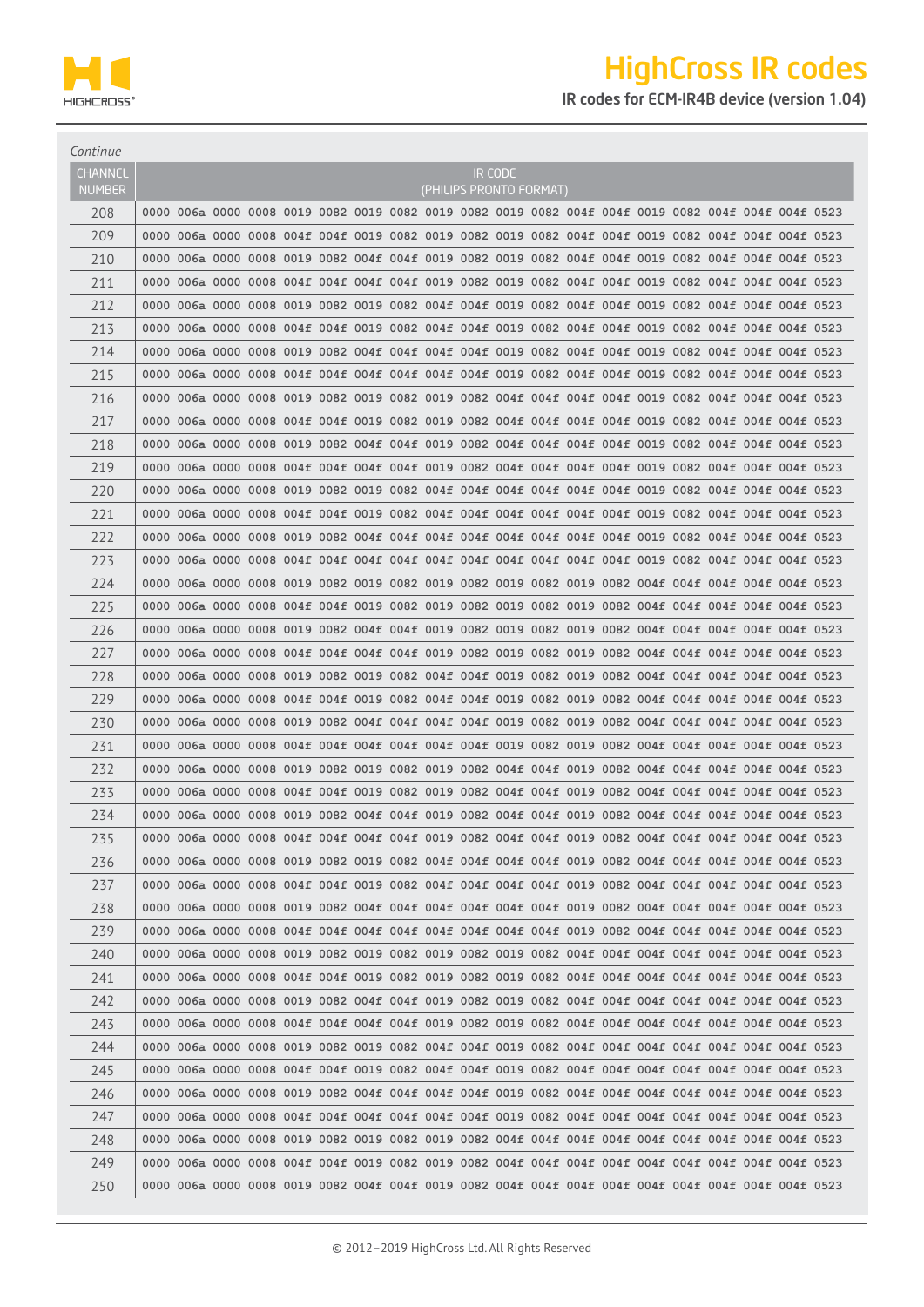

| Continue                 |  |                                                                                                                                                                                                            |  |  |                         |                |  |  |  |  |  |
|--------------------------|--|------------------------------------------------------------------------------------------------------------------------------------------------------------------------------------------------------------|--|--|-------------------------|----------------|--|--|--|--|--|
| CHANNEL<br><b>NUMBER</b> |  |                                                                                                                                                                                                            |  |  | (PHILIPS PRONTO FORMAT) | <b>IR CODE</b> |  |  |  |  |  |
| 208                      |  | 0000 006a 0000 0008 0019 0082 0019 0082 0019 0082 0019 0082 004f 004f 0019 0082 004f 004f 004f 0523                                                                                                        |  |  |                         |                |  |  |  |  |  |
| 209                      |  | 0000 006a 0000 0008 004f 004f 0019 0082 0019 0082 0019 0082 004f 004f 0019 0082 004f 004f 004f 0523                                                                                                        |  |  |                         |                |  |  |  |  |  |
| 210                      |  | 0000 006a 0000 0008 0019 0082 004f 004f 0019 0082 0019 0082 004f 004f 0019 0082 004f 004f 004f 0523                                                                                                        |  |  |                         |                |  |  |  |  |  |
| 211                      |  | 0000 006a 0000 0008 004f 004f 004f 004f 0019 0082 0019 0082 004f 004f 0019 0082 004f 004f 004f 0523                                                                                                        |  |  |                         |                |  |  |  |  |  |
| 212                      |  | 0000 006a 0000 0008 0019 0082 0019 0082 004f 004f 0019 0082 004f 004f 0019 0082 004f 004f 004f 0523                                                                                                        |  |  |                         |                |  |  |  |  |  |
| 213                      |  | 0000 006a 0000 0008 004f 004f 0019 0082 004f 004f 0019 0082 004f 004f 0019 0082 004f 004f 004f 0523                                                                                                        |  |  |                         |                |  |  |  |  |  |
| 214                      |  | 0000 006a 0000 0008 0019 0082 004f 004f 004f 004f 0019 0082 004f 004f 0019 0082 004f 004f 004f 0523                                                                                                        |  |  |                         |                |  |  |  |  |  |
| 215                      |  |                                                                                                                                                                                                            |  |  |                         |                |  |  |  |  |  |
| 216                      |  | 0000 006a 0000 0008 0019 0082 0019 0082 0019 0082 004f 004f 004f 004f 0019 0082 004f 004f 004f 0523                                                                                                        |  |  |                         |                |  |  |  |  |  |
| 217                      |  | 0000 006a 0000 0008 004f 004f 0019 0082 0019 0082 004f 004f 004f 004f 0019 0082 004f 004f 004f 0523                                                                                                        |  |  |                         |                |  |  |  |  |  |
| 218                      |  | 0000 006a 0000 0008 0019 0082 004f 004f 0019 0082 004f 004f 004f 004f 0019 0082 004f 004f 004f 0523                                                                                                        |  |  |                         |                |  |  |  |  |  |
| 219                      |  | 0000 006a 0000 0008 004f 004f 004f 004f 0019 0082 004f 004f 004f 004f 0019 0082 004f 004f 004f 0523                                                                                                        |  |  |                         |                |  |  |  |  |  |
| 220                      |  | 0000 006a 0000 0008 0019 0082 0019 0082 004f 004f 004f 004f 004f 004f 0019 0082 004f 004f 004f 0523                                                                                                        |  |  |                         |                |  |  |  |  |  |
| 221                      |  | 0000 006a 0000 0008 004f 004f 0019 0082 004f 004f 004f 004f 004f 004f 0019 0082 004f 004f 004f 0523                                                                                                        |  |  |                         |                |  |  |  |  |  |
| 222                      |  |                                                                                                                                                                                                            |  |  |                         |                |  |  |  |  |  |
| 223                      |  |                                                                                                                                                                                                            |  |  |                         |                |  |  |  |  |  |
| 224                      |  | 0000 006a 0000 0008 0019 0082 0019 0082 0019 0082 0019 0082 0019 0082 004f 004f 004f 004f 004f 0523                                                                                                        |  |  |                         |                |  |  |  |  |  |
| 225                      |  | 0000 006a 0000 0008 004f 004f 0019 0082 0019 0082 0019 0082 0019 0082 004f 004f 004f 004f 004f 0523                                                                                                        |  |  |                         |                |  |  |  |  |  |
| 226                      |  | 0000 006a 0000 0008 0019 0082 004f 004f 0019 0082 0019 0082 0019 0082 004f 004f 004f 004f 004f 0523                                                                                                        |  |  |                         |                |  |  |  |  |  |
| 227                      |  | 0000 006a 0000 0008 004f 004f 004f 004f 0019 0082 0019 0082 0019 0082 004f 004f 004f 004f 004f 0523                                                                                                        |  |  |                         |                |  |  |  |  |  |
| 228                      |  | 0000 006a 0000 0008 0019 0082 0019 0082 004f 004f 0019 0082 0019 0082 004f 004f 004f 004f 004f 0523                                                                                                        |  |  |                         |                |  |  |  |  |  |
| 229                      |  | 0000 006a 0000 0008 004f 004f 0019 0082 004f 004f 0019 0082 0019 0082 004f 004f 004f 004f 004f 0523                                                                                                        |  |  |                         |                |  |  |  |  |  |
| 230                      |  | 0000 006a 0000 0008 0019 0082 004f 004f 004f 004f 0019 0082 0019 0082 004f 004f 004f 004f 004f 0523                                                                                                        |  |  |                         |                |  |  |  |  |  |
| 231                      |  |                                                                                                                                                                                                            |  |  |                         |                |  |  |  |  |  |
| 232                      |  | 0000 006a 0000 0008 0019 0082 0019 0082 0019 0082 004f 004f 0019 0082 004f 004f 004f 004f 004f 0523                                                                                                        |  |  |                         |                |  |  |  |  |  |
| 233                      |  | 0000 006a 0000 0008 004f 004f 0019 0082 0019 0082 004f 004f 0019 0082 004f 004f 004f 004f 004f 0523                                                                                                        |  |  |                         |                |  |  |  |  |  |
| 234                      |  | 0000 006a 0000 0008 0019 0082 004f 004f 0019 0082 004f 004f 0019 0082 004f 004f 004f 004f 004f 0523                                                                                                        |  |  |                         |                |  |  |  |  |  |
| 235                      |  | 0000 006a 0000 0008 004f 004f 004f 004f 0019 0082 004f 004f 0019 0082 004f 004f 004f 004f 004f 0523                                                                                                        |  |  |                         |                |  |  |  |  |  |
| 236                      |  | 0000 006a 0000 0008 0019 0082 0019 0082 004f 004f 004f 004f 0019 0082 004f 004f 004f 004f 004f 0523                                                                                                        |  |  |                         |                |  |  |  |  |  |
| 237                      |  | 0000 006a 0000 0008 004f 004f 0019 0082 004f 004f 004f 004f 0019 0082 004f 004f 004f 004f 004f 0523                                                                                                        |  |  |                         |                |  |  |  |  |  |
| 238                      |  | 0000 006a 0000 0008 0019 0082 004f 004f 004f 004f 004f 004f 0019 0082 004f 004f 004f 004f 004f 0523                                                                                                        |  |  |                         |                |  |  |  |  |  |
| 239<br>240               |  |                                                                                                                                                                                                            |  |  |                         |                |  |  |  |  |  |
| 241                      |  | 0000 006a 0000 0008 0019 0082 0019 0082 0019 0082 0019 0082 004f 004f 004f 004f 004f 004f 004f 0523<br>0000 006a 0000 0008 004f 004f 0019 0082 0019 0082 0019 0082 004f 004f 004f 004f 004f 004f 004f 0523 |  |  |                         |                |  |  |  |  |  |
| 242                      |  | 0000 006a 0000 0008 0019 0082 004f 004f 0019 0082 0019 0082 004f 004f 004f 004f 004f 004f 004f 0523                                                                                                        |  |  |                         |                |  |  |  |  |  |
| 243                      |  | 0000 006a 0000 0008 004f 004f 004f 004f 0019 0082 0019 0082 004f 004f 004f 004f 004f 004f 004f 0523                                                                                                        |  |  |                         |                |  |  |  |  |  |
| 244                      |  | 0000 006a 0000 0008 0019 0082 0019 0082 004f 004f 0019 0082 004f 004f 004f 004f 004f 004f 004f 0523                                                                                                        |  |  |                         |                |  |  |  |  |  |
| 245                      |  | 0000 006a 0000 0008 004f 004f 0019 0082 004f 004f 0019 0082 004f 004f 004f 004f 004f 004f 004f 0523                                                                                                        |  |  |                         |                |  |  |  |  |  |
| 246                      |  | 0000 006a 0000 0008 0019 0082 004f 004f 004f 004f 0019 0082 004f 004f 004f 004f 004f 004f 004f 0523                                                                                                        |  |  |                         |                |  |  |  |  |  |
| 247                      |  |                                                                                                                                                                                                            |  |  |                         |                |  |  |  |  |  |
| 248                      |  |                                                                                                                                                                                                            |  |  |                         |                |  |  |  |  |  |
| 249                      |  |                                                                                                                                                                                                            |  |  |                         |                |  |  |  |  |  |
| 250                      |  |                                                                                                                                                                                                            |  |  |                         |                |  |  |  |  |  |
|                          |  |                                                                                                                                                                                                            |  |  |                         |                |  |  |  |  |  |